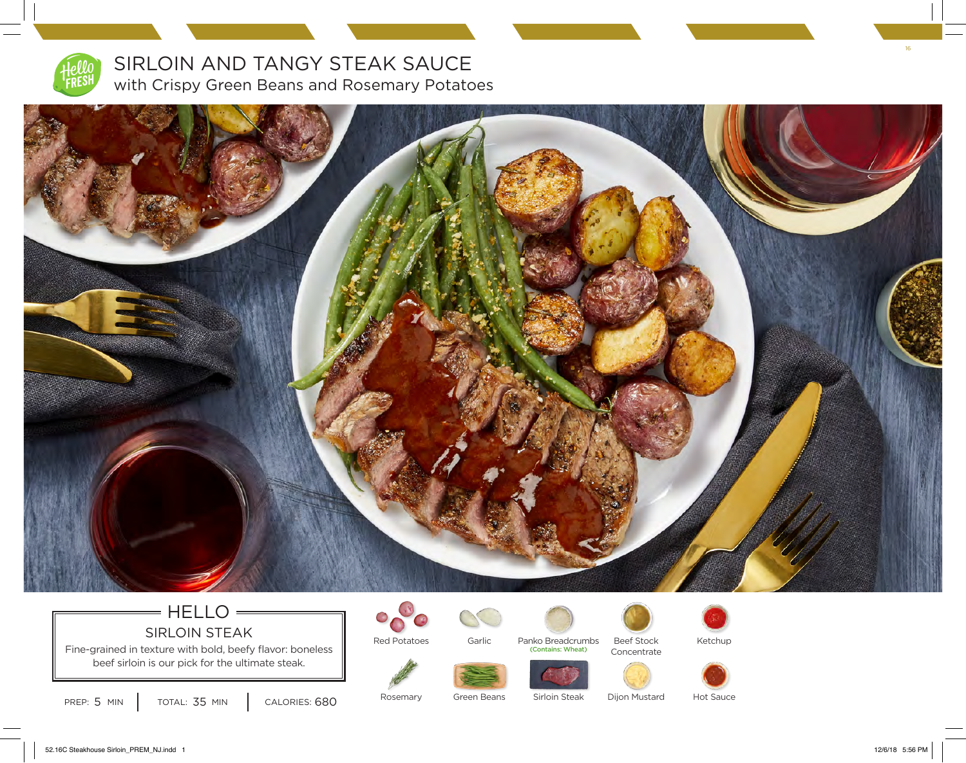

## SIRLOIN AND TANGY STEAK SAUCE with Crispy Green Beans and Rosemary Potatoes



## HELLO SIRLOIN STEAK

Fine-grained in texture with bold, beefy flavor: boneless beef sirloin is our pick for the ultimate steak.



Red Potatoes



Panko Breadcrumbs<br>Contains: Wheat) Beef Stock Concentrate



Ketchup



Rosemary

Green Beans

Dijon Mustard

Hot Sauce

52.16C Steakhouse Sirloin\_PREM\_NJ.indd 1 12/6/18 5:56 PM

16